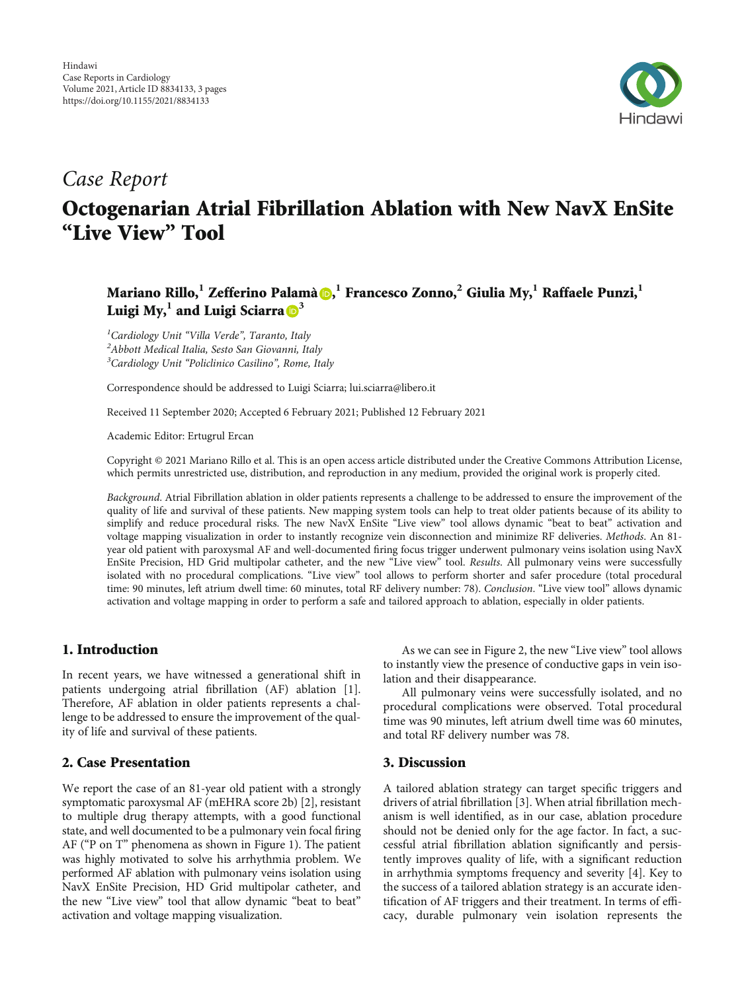

## Case Report

# Octogenarian Atrial Fibrillation Ablation with New NavX EnSite "Live View" Tool

Mariano Rillo[,](https://orcid.org/0000-0002-9262-6654)<sup>1</sup> Zefferino Palamà <mark>()</mark>, <sup>1</sup> Francesco Zonno,<sup>2</sup> Giulia My,<sup>1</sup> Raffaele Punzi,<sup>1</sup> Luigi My,  $^1$  and Luigi Sciarra  $\mathbb{D}^3$  $\mathbb{D}^3$ 

<sup>1</sup>Cardiology Unit "Villa Verde", Taranto, Italy<br><sup>2</sup> Abbott Medical Italia, Sesto San Giovanni, It Abbott Medical Italia, Sesto San Giovanni, Italy <sup>3</sup>Cardiology Unit "Policlinico Casilino", Rome, Italy

Correspondence should be addressed to Luigi Sciarra; lui.sciarra@libero.it

Received 11 September 2020; Accepted 6 February 2021; Published 12 February 2021

Academic Editor: Ertugrul Ercan

Copyright © 2021 Mariano Rillo et al. This is an open access article distributed under the [Creative Commons Attribution License](https://creativecommons.org/licenses/by/4.0/), which permits unrestricted use, distribution, and reproduction in any medium, provided the original work is properly cited.

Background. Atrial Fibrillation ablation in older patients represents a challenge to be addressed to ensure the improvement of the quality of life and survival of these patients. New mapping system tools can help to treat older patients because of its ability to simplify and reduce procedural risks. The new NavX EnSite "Live view" tool allows dynamic "beat to beat" activation and voltage mapping visualization in order to instantly recognize vein disconnection and minimize RF deliveries. Methods. An 81year old patient with paroxysmal AF and well-documented firing focus trigger underwent pulmonary veins isolation using NavX EnSite Precision, HD Grid multipolar catheter, and the new "Live view" tool. Results. All pulmonary veins were successfully isolated with no procedural complications. "Live view" tool allows to perform shorter and safer procedure (total procedural time: 90 minutes, left atrium dwell time: 60 minutes, total RF delivery number: 78). Conclusion. "Live view tool" allows dynamic activation and voltage mapping in order to perform a safe and tailored approach to ablation, especially in older patients.

#### 1. Introduction

In recent years, we have witnessed a generational shift in patients undergoing atrial fibrillation (AF) ablation [[1](#page-2-0)]. Therefore, AF ablation in older patients represents a challenge to be addressed to ensure the improvement of the quality of life and survival of these patients.

#### 2. Case Presentation

We report the case of an 81-year old patient with a strongly symptomatic paroxysmal AF (mEHRA score 2b) [[2](#page-2-0)], resistant to multiple drug therapy attempts, with a good functional state, and well documented to be a pulmonary vein focal firing AF ("P on T" phenomena as shown in Figure [1](#page-1-0)). The patient was highly motivated to solve his arrhythmia problem. We performed AF ablation with pulmonary veins isolation using NavX EnSite Precision, HD Grid multipolar catheter, and the new "Live view" tool that allow dynamic "beat to beat" activation and voltage mapping visualization.

As we can see in Figure [2,](#page-1-0) the new "Live view" tool allows to instantly view the presence of conductive gaps in vein isolation and their disappearance.

All pulmonary veins were successfully isolated, and no procedural complications were observed. Total procedural time was 90 minutes, left atrium dwell time was 60 minutes, and total RF delivery number was 78.

#### 3. Discussion

A tailored ablation strategy can target specific triggers and drivers of atrial fibrillation [[3\]](#page-2-0). When atrial fibrillation mechanism is well identified, as in our case, ablation procedure should not be denied only for the age factor. In fact, a successful atrial fibrillation ablation significantly and persistently improves quality of life, with a significant reduction in arrhythmia symptoms frequency and severity [\[4\]](#page-2-0). Key to the success of a tailored ablation strategy is an accurate identification of AF triggers and their treatment. In terms of efficacy, durable pulmonary vein isolation represents the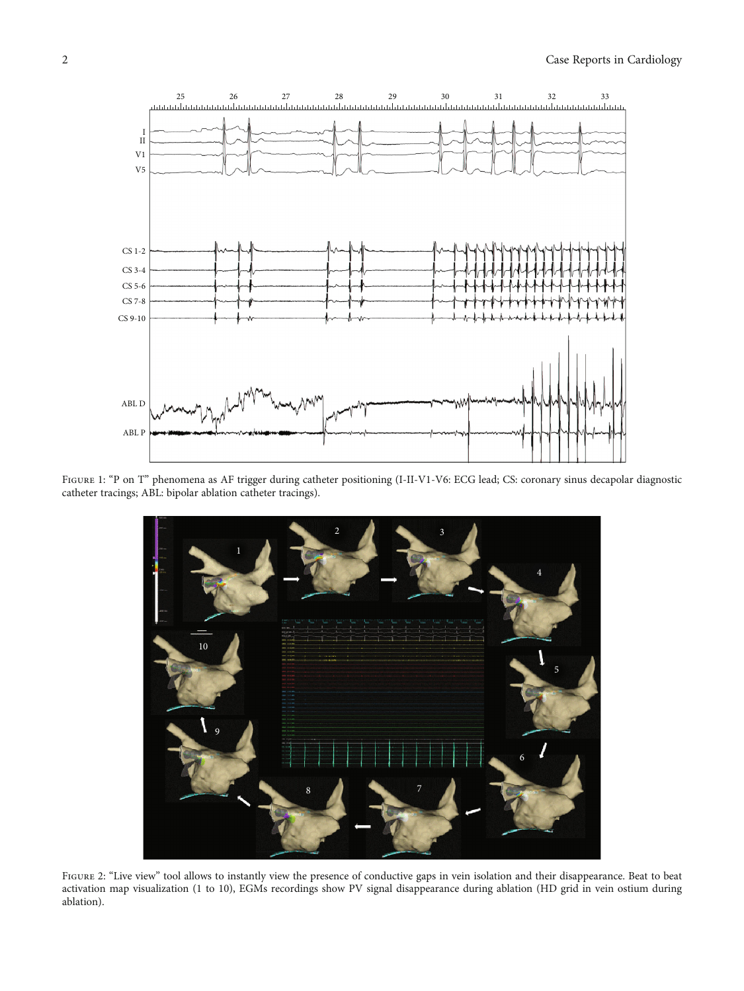<span id="page-1-0"></span>

Figure 1: "P on T" phenomena as AF trigger during catheter positioning (I-II-V1-V6: ECG lead; CS: coronary sinus decapolar diagnostic catheter tracings; ABL: bipolar ablation catheter tracings).



Figure 2: "Live view" tool allows to instantly view the presence of conductive gaps in vein isolation and their disappearance. Beat to beat activation map visualization (1 to 10), EGMs recordings show PV signal disappearance during ablation (HD grid in vein ostium during ablation).